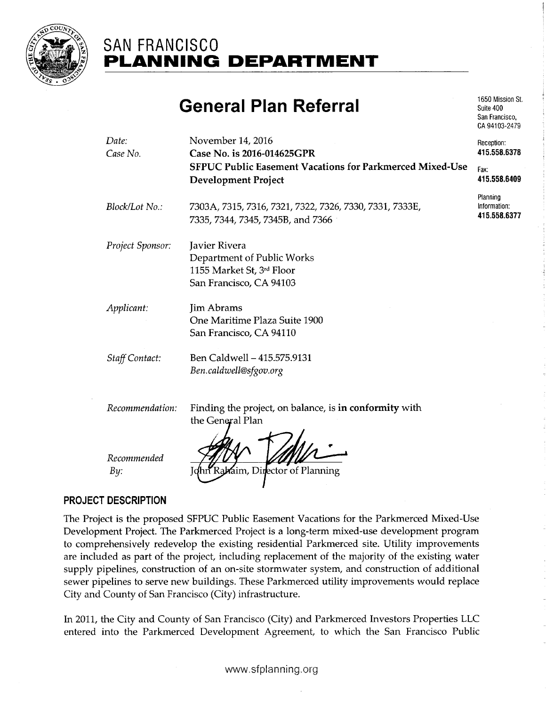

# SAN FRANCISCO PLANNING DEPARTMENT

# General Plan Referral

1650 Mission St. Suite 400 San Francisco, CA 94103-2479

| Date:<br>Case No.  | November 14, 2016<br>Case No. is 2016-014625GPR                                                     | Reception:<br>415.558.6378               |
|--------------------|-----------------------------------------------------------------------------------------------------|------------------------------------------|
|                    | <b>SFPUC Public Easement Vacations for Parkmerced Mixed-Use</b><br><b>Development Project</b>       | Fax:<br>415.558.6409                     |
| Block/Lot No.:     | 7303A, 7315, 7316, 7321, 7322, 7326, 7330, 7331, 7333E,<br>7335, 7344, 7345, 7345B, and 7366        | Planning<br>Information:<br>415.558.6377 |
| Project Sponsor:   | Javier Rivera<br>Department of Public Works<br>1155 Market St, 3rd Floor<br>San Francisco, CA 94103 |                                          |
| Applicant:         | <b>Jim Abrams</b><br>One Maritime Plaza Suite 1900<br>San Francisco, CA 94110                       |                                          |
| Staff Contact:     | Ben Caldwell - 415.575.9131<br>Ben.caldwell@sfgov.org                                               |                                          |
| Recommendation:    | Finding the project, on balance, is in conformity with<br>the General Plan                          |                                          |
| Recommended<br>By: | hn Rakaim, Director of Planning                                                                     |                                          |

# PROJECT DESCRIPTION

The Project is the proposed SFPUC Public Easement Vacations for the Parkmerced Mixed-Use Development Project. The Parkmerced Project is a long-term mixed-use development program to comprehensively redevelop the existing residential Parkmerced site. Utility improvements are included as part of the project, including replacement of the majority of the existing water supply pipelines, construction of an on-site stormwater system, and construction of additional sewer pipelines to serve new buildings. These Parkmerced utility improvements would replace City and County of San Francisco (City) infrastructure.

In 2011, the City and County of San Francisco (City) and Parkmerced Investors Properties LLC entered into the Parkmerced Development Agreement, to which the San Francisco Public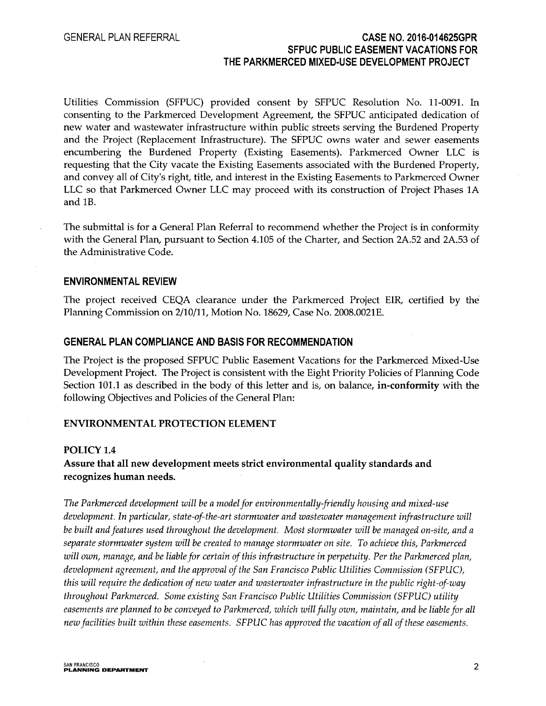### GENERAL PLAN REFERRAL CASE N0.2016-014625GPR SFPUC PUBLIC EASEMENT VACATIONS FOR THE PARKMERCED MIXED-USE DEVELOPMENT PROJECT

Utilities Commission (SFPUC) provided consent by SFPUC Resolution No. 11-0091. In consenting to the Parkmerced Development Agreement, the SFPUC anticipated dedication of new water and wastewater infrastructure within public streets serving the Burdened Property and the Project (Replacement Infrastructure). The SFPUC owns water and sewer easements encumbering the Burdened Property (Existing Easements). Parkmerced Owner LLC is requesting that the City vacate the Existing Easements associated with the Burdened Property, and convey all of City's right, title, and interest in the Existing Easements to Parkmerced Owner LLC so that Parkmerced Owner LLC may proceed with its construction of Project Phases 1A and 1B.

The submittal is for a General Plan Referral to recommend whether the Project is in conformity with the General Plan, pursuant to Section 4.105 of the Charter, and Section 2A.52 and 2A.53 of the Administrative Code.

#### ENVIRONMENTAL REVIEW

The project received CEQA clearance under the Parkmerced Project EIR, certified by the Planning Commission on 2/10/11, Motion No. 18629, Case No. 2008.0021E.

#### GENERAL PLAN COMPLIANCE AND BASIS FOR RECOMMENDATION

The Project is the proposed SFPUC Public Easement Vacations for the Parkmerced Mixed-Use Development Project. The Project is consistent with the Eight Priority Policies of Planning Code Section 101.1 as described in the body of this letter and is, on balance, in-conformity with the following Objectives and Policies of the General Plan:

#### ENVIRONMENTAL PROTECTION ELEMENT

#### POLICY 1.4

### Assure that all new development meets strict environmental quality standards and recognizes human needs.

The Parkmerced development will be a model for environmentally-friendly housing and mixed-use development. In particular, state-of-the-art stormwater and wastewater management infrastructure will be built and features used throughout the development. Most stormwater will be managed on-site, and a separate stormwater system will be created to manage stormwater on site. To achieve this, Parkmerced will own, manage, and be liable for certain of this infrastructure in perpetuity. Per the Parkmerced plan, development agreement, and the approval of the San Francisco Public Utilities Commission (SFPUC), this will require the dedication of new water and wasterwater infrastructure in the public right-of-way throughout Parkmerced. Some existing San Francisco Public Utilities Commission (SFPUC) utility easements are planned to be conveyed to Parkmerced, which will fully own, maintain, and be liable for all new facilities built within these easements. SFPUC has approved the vacation of all of these easements.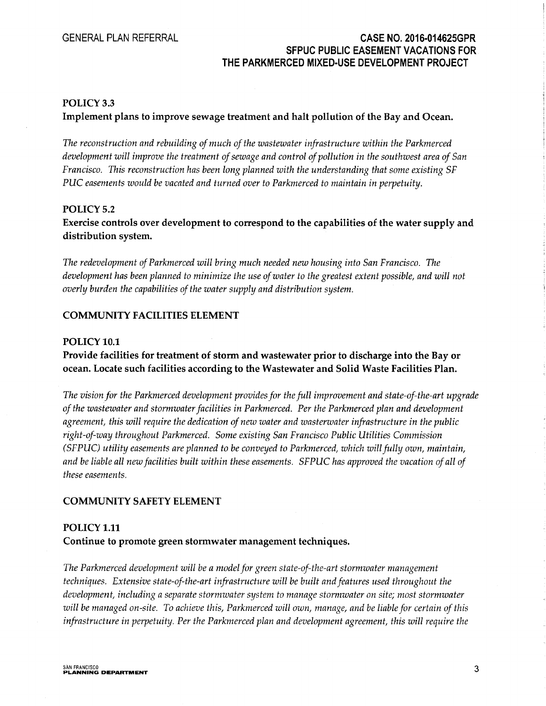# GENERAL PLAN REFERRAL CASE N0.2016-014625GPR SFPUC PUBLIC EASEMENT VACATIONS FOR. THE PARKMERCED MIXED-USE DEVELOPMENT PROJECT

#### POLICY 3.3

Implement plans to improve sewage treatment and halt pollution of the Bay and Ocean.

The reconstruction and rebuilding of much of the wastewater infrastructure within the Parkmerced development will improve the treatment of sewage and control of pollution in the southwest area of San Francisco. This reconstruction has been long planned with the understanding that some existing SF PUC easements would be vacated and turned over to Parkmerced to maintain in perpetuity.

#### POLICY 5.2

Exercise controls over development to correspond to the capabilities of the water supply and distribution system.

The redevelopment of Parkmerced will bring much needed new housing into San Francisco. The development has been planned to minimize the use of water to the greatest extent possible, and will not overly burden the capabilities of the water supply and distribution system.

#### COMMUNITY FACILITIES ELEMENT

#### POLICY 10.1

# Provide facilities for treatment of storm and wastewater prior to discharge into the Bay or ocean. Locate such facilities according to the Wastewater and Solid Waste Facilities Plan.

The vision for the Parkmerced development provides for the full improvement and state-of-the-art upgrade of the wastewater and stormwater facilities in Parkmerced. Per the Parkmerced plan and development agreement, this will require the dedication of new water and wasterwater infrastructure in the public right-of-way throughout Parkmerced. Some existing San Francisco Public Utilities Commission (SFPUC) utility easements are planned to be conveyed to Parkmerced, which will fully own, maintain, and be liable all new facilities built within these easements. SFPUC has approved the vacation of all of these easements.

#### COMMUNITY SAFETY ELEMENT

# POLICY 1.11 Continue to promote green stormwater management techniques.

The Parkmerced development will be a model for green state-of-the-art stormwater management techniques. Extensive state-of-the-art infrastructure will be built and features used throughout the development, including a separate stormwater system to manage stormwater on site; most stormwater will be managed on-site. To achieve this, Parkmerced will own, manage, and be liable for certain of this infrastructure in perpetuity. Per the Parkmerced plan and development agreement, this will require the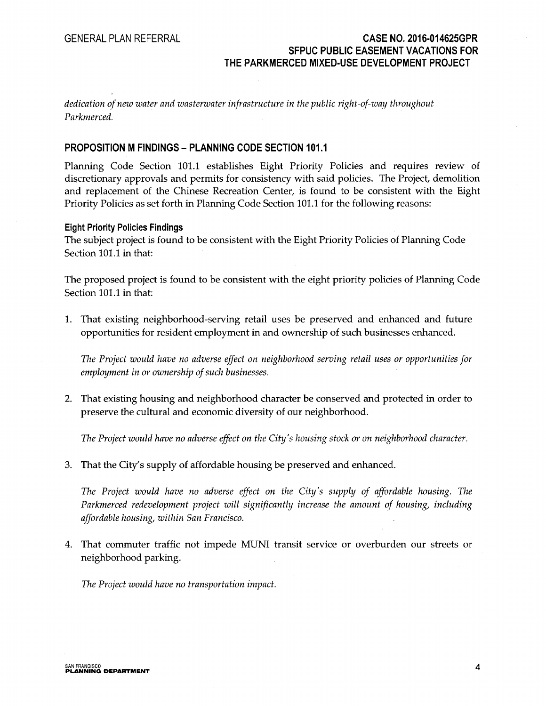### GENERAL PLAN REFERRAL CASE N0.2016-014625GPR SFPUC PUBLIC EASEMENT VACATIONS FOR THE PARKMERCED MIXED-USE DEVELOPMENT PROJECT

dedication of new water and wasterwater infrastructure in the public right-of-way throughout Parkmerced.

#### PROPOSITION M FINDINGS - PLANNING CODE SECTION 101.1

Planning Code Section 101.1 establishes Eight Priority Policies and requires review of discretionary approvals and permits for consistency with said policies. The Project, demolition and replacement of the Chinese Recreation Center, is found to be consistent with the Eight Priority Policies as set forth in Planning Code Section 101.1 for the following reasons:

#### Eight Priority Policies Findings

The subject project is found to be consistent with the Eight Priority Policies of Planning Code Section 101.1 in that:

The proposed project is found to be consistent with the eight priority policies of Planning Code Section 101.1 in that:

L That existing neighborhood-serving retail uses be preserved and enhanced and future opportunities for resident employment in and ownership of such businesses enhanced.

The Project would have no adverse effect on neighborhood serving retail uses or opportunities for employment in or ownership of such businesses.

2. That existing housing and neighborhood character be conserved and protected in order to preserve the cultural and economic diversity of our neighborhood.

The Project would have no adverse effect on the City's housing stock or on neighborhood character.

3. That the City's supply of affardable housing be preserved and enhanced.

The Project would have no adverse effect on the City's supply of affordable housing. The Parkmerced redevelopment project will significantly increase the amount of housing, including affordable housing, within San Francisco.

4. That commuter traffic not impede MUNI transit service or overburden our streets or neighborhood parking.

The Project would have no transportation impact.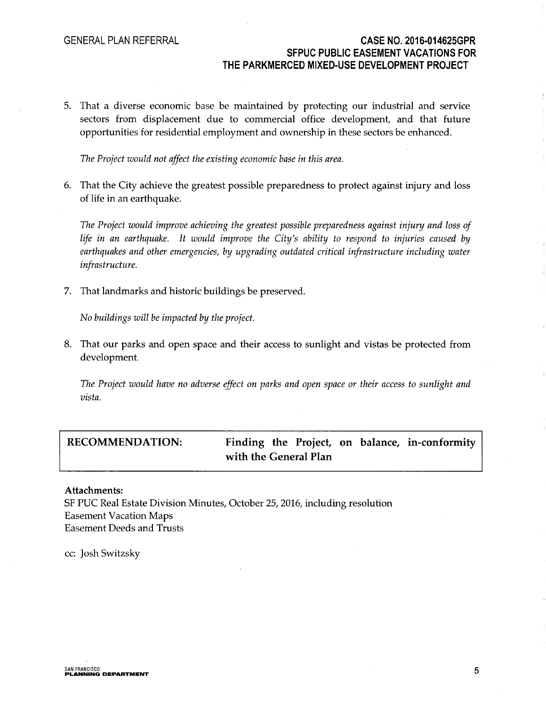# GENERAL PLAN REFERRAL **CASE NO. 2016-014625GPR** SFPUC PUBLIC EASEMENT VACATIONS FOR THE PARKMERCED MIXED-USE DEVELOPMENT PROJECT

5. That a diverse economic base be maintained by protecting our industrial and service sectors from displacement due to commercial office development, and that future opportunities for residential employment and ownership in these sectors be enhanced.

The Project would not affect the existing economic base in this area.

6. That the City achieve the greatest possible preparedness to protect against injury and loss of life in an earthquake.

The Project would improve achieving the greatest possible preparedness against injury and loss of life in an earthquake. It would improve the City's ability to respond to injuries caused by earthquakes and other emergencies, by upgrading outdated critical infrastructure including water infrastructure.

7. That landmarks and historic buildings be preserved.

No buildings will be impacted by the project.

8. That our parks and open space and their access to sunlight and vistas be protected from development.

The Project would have no adverse effect on parks and open space or their access to sunlight and vista.

# RECOMMENDATION: Finding the Project, on balance, in-conformity with the General Plan

#### Attachments:

SF PUC Real Estate Division Minutes, October 25, 2016, including resolution Easement Vacation Maps Easement Deeds and Trusts

cc: Josh Switzsky